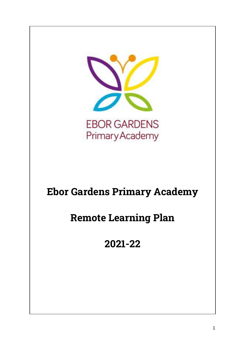

# **Ebor Gardens Primary Academy**

# **Remote Learning Plan**

**2021-22**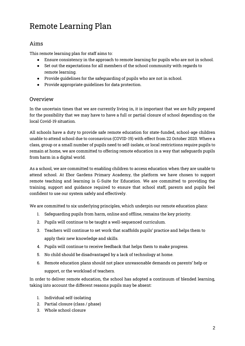# Remote Learning Plan

#### Aims

This remote learning plan for staff aims to:

- Ensure consistency in the approach to remote learning for pupils who are not in school.
- Set out the expectations for all members of the school community with regards to remote learning.
- Provide guidelines for the safeguarding of pupils who are not in school.
- Provide appropriate guidelines for data protection.

#### Overview

In the uncertain times that we are currently living in, it is important that we are fully prepared for the possibility that we may have to have a full or partial closure of school depending on the local Covid-19 situation.

All schools have a duty to provide safe remote education for state-funded, school-age children unable to attend school due to coronavirus (COVID-19) with effect from 22 October 2020. Where a class, group or a small number of pupils need to self-isolate, or local restrictions require pupils to remain at home, we are committed to offering remote education in a way that safeguards pupils from harm in a digital world.

As a school, we are committed to enabling children to access education when they are unable to attend school. At Ebor Gardens Primary Academy, the platform we have chosen to support remote teaching and learning is G-Suite for Education. We are committed to providing the training, support and guidance required to ensure that school staff, parents and pupils feel confident to use our system safely and effectively.

We are committed to six underlying principles, which underpin our remote education plans:

- 1. Safeguarding pupils from harm, online and offline, remains the key priority.
- 2. Pupils will continue to be taught a well-sequenced curriculum.
- 3. Teachers will continue to set work that scaffolds pupils' practice and helps them to apply their new knowledge and skills.
- 4. Pupils will continue to receive feedback that helps them to make progress.
- 5. No child should be disadvantaged by a lack of technology at home.
- 6. Remote education plans should not place unreasonable demands on parents' help or support, or the workload of teachers.

In order to deliver remote education, the school has adopted a continuum of blended learning, taking into account the different reasons pupils may be absent:

- 1. Individual self-isolating
- 2. Partial closure (class / phase)
- 3. Whole school closure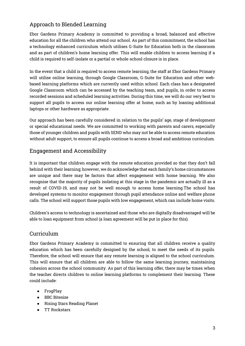### Approach to Blended Learning

Ebor Gardens Primary Academy is committed to providing a broad, balanced and effective education for all the children who attend our school. As part of this commitment, the school has a technology enhanced curriculum which utilises G-Suite for Education both in the classroom and as part of children's home learning offer. This will enable children to access learning if a child is required to self-isolate or a partial or whole-school closure is in place.

In the event that a child is required to access remote learning, the staff at Ebor Gardens Primary will utilise online learning, through Google Classroom, G-Suite for Education and other webbased learning platforms which are currently used within school. Each class has a designated Google Classroom which can be accessed by the teaching team, and pupils, in order to access recorded sessions and scheduled learning activities. During this time, we will do our very best to support all pupils to access our online learning offer at home, such as by loaning additional laptops or other hardware as appropriate.

Our approach has been carefully considered in relation to the pupils' age, stage of development or special educational needs. We are committed to working with parents and carers, especially those of younger children and pupils with SEND who may not be able to access remote education without adult support, to ensure all pupils continue to access a broad and ambitious curriculum.

#### Engagement and Accessibility

It is important that children engage with the remote education provided so that they don't fall behind with their learning; however, we do acknowledge that each family's home circumstances are unique and there may be factors that affect engagement with home learning. We also recognise that the majority of pupils isolating at this stage in the pandemic are actually ill as a result of COVID-19, and may not be well enough to access home learning.The school has developed systems to monitor engagement through pupil attendance online and welfare phone calls. The school will support those pupils with low engagement, which can include home visits.

Children's access to technology is ascertained and those who are digitally disadvantaged will be able to loan equipment from school (a loan agreement will be put in place for this).

#### Curriculum

Ebor Gardens Primary Academy is committed to ensuring that all children receive a quality education which has been carefully designed by the school, to meet the needs of its pupils. Therefore, the school will ensure that any remote learning is aligned to the school curriculum. This will ensure that all children are able to follow the same learning journey, maintaining cohesion across the school community. As part of this learning offer, there may be times when the teacher directs children to online learning platforms to complement their learning. These could include:

- FrogPlay
- BBC Bitesize
- Rising Stars Reading Planet
- TT Rockstars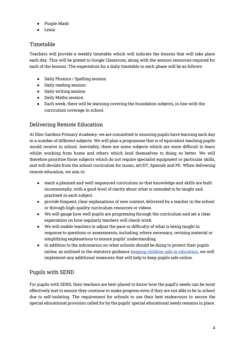- Purple Mash
- Lexia

### Timetable

Teachers will provide a weekly timetable which will indicate the lessons that will take place each day. This will be posted to Google Classroom, along with the session resources required for each of the lessons. The expectation for a daily timetable in each phase will be as follows:

- Daily Phonics / Spelling session
- Daily reading session
- Daily writing session
- Daily Maths session
- Each week, there will be learning covering the foundation subjects, in line with the curriculum coverage in school.

#### Delivering Remote Education

At Ebor Gardens Primary Academy, we are committed to ensuring pupils have learning each day in a number of different subjects. We will plan a programme that is of equivalent teaching pupils would receive in school. Inevitably, there are some subjects which are more difficult to learn whilst working from home and others which lend themselves to doing so better. We will therefore prioritise those subjects which do not require specialist equipment or particular skills, and will deviate from the school curriculum for music, art/DT, Spanish and PE. When delivering remote education, we aim to:

- teach a planned and well-sequenced curriculum so that knowledge and skills are built incrementally, with a good level of clarity about what is intended to be taught and practised in each subject.
- provide frequent, clear explanations of new content, delivered by a teacher in the school or through high-quality curriculum resources or videos.
- We will gauge how well pupils are progressing through the curriculum and set a clear expectation on how regularly teachers will check work.
- We will enable teachers to adjust the pace or difficulty of what is being taught in response to questions or assessments, including, where necessary, revising material or simplifying explanations to ensure pupils' understanding.
- In addition to the information on what schools should be doing to protect their pupils online, as outlined in the statutory guidanc[e](https://www.gov.uk/government/publications/keeping-children-safe-in-education--2) [keeping children safe in education,](https://www.gov.uk/government/publications/keeping-children-safe-in-education--2) we will implement any additional measures that will help to keep pupils safe online.

#### Pupils with SEND

For pupils with SEND, their teachers are best-placed to know how the pupil's needs can be most effectively met to ensure they continue to make progress even if they are not able to be in school due to self-isolating. The requirement for schools to use their best endeavours to secure the special educational provision called for by the pupils' special educational needs remains in place.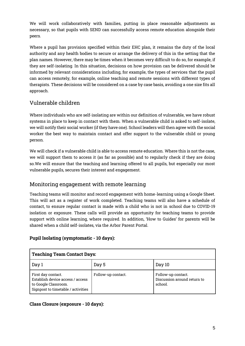We will work collaboratively with families, putting in place reasonable adjustments as necessary, so that pupils with SEND can successfully access remote education alongside their peers.

Where a pupil has provision specified within their EHC plan, it remains the duty of the local authority and any health bodies to secure or arrange the delivery of this in the setting that the plan names. However, there may be times when it becomes very difficult to do so, for example, if they are self-isolating. In this situation, decisions on how provision can be delivered should be informed by relevant considerations including, for example, the types of services that the pupil can access remotely, for example, online teaching and remote sessions with different types of therapists. These decisions will be considered on a case by case basis, avoiding a one size fits all approach.

# Vulnerable children

Where individuals who are self-isolating are within our definition of vulnerable, we have robust systems in place to keep in contact with them. When a vulnerable child is asked to self-isolate, we will notify their social worker (if they have one). School leaders will then agree with the social worker the best way to maintain contact and offer support to the vulnerable child or young person.

We will check if a vulnerable child is able to access remote education. Where this is not the case, we will support them to access it (as far as possible) and to regularly check if they are doing so.We will ensure that the teaching and learning offered to all pupils, but especially our most vulnerable pupils, secures their interest and engagement.

# Monitoring engagement with remote learning

Teaching teams will monitor and record engagement with home-learning using a Google Sheet. This will act as a register of work completed. Teaching teams will also have a schedule of contact, to ensure regular contact is made with a child who is not in school due to COVID-19 isolation or exposure. These calls will provide an opportunity for teaching teams to provide support with online learning, where required. In addition, 'How to Guides' for parents will be shared when a child self-isolates, via the Arbor Parent Portal.

#### **Pupil Isolating (symptomatic - 10 days):**

| <b>Teaching Team Contact Days:</b>                                                                                   |                    |                                                              |  |  |
|----------------------------------------------------------------------------------------------------------------------|--------------------|--------------------------------------------------------------|--|--|
| Day 1                                                                                                                | Day 5              | Day 10                                                       |  |  |
| First day contact.<br>Establish device access / access<br>to Google Classroom.<br>Signpost to timetable / activities | Follow-up contact. | Follow-up contact.<br>Discussion around return to<br>school. |  |  |

#### **Class Closure (exposure - 10 days):**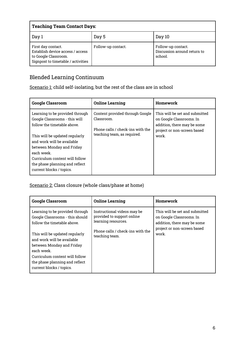| <b>Teaching Team Contact Days:</b>                                                                                   |                    |                                                              |  |
|----------------------------------------------------------------------------------------------------------------------|--------------------|--------------------------------------------------------------|--|
| Day 1                                                                                                                | Day 5              | Day 10                                                       |  |
| First day contact.<br>Establish device access / access<br>to Google Classroom.<br>Signpost to timetable / activities | Follow-up contact. | Follow-up contact.<br>Discussion around return to<br>school. |  |

# Blended Learning Continuum

Scenario 1: child self-isolating, but the rest of the class are in school

| <b>Google Classroom</b>                                                                                                                                                                                                                                                                                    | <b>Online Learning</b>                                                                                           | Homework                                                                                                                          |
|------------------------------------------------------------------------------------------------------------------------------------------------------------------------------------------------------------------------------------------------------------------------------------------------------------|------------------------------------------------------------------------------------------------------------------|-----------------------------------------------------------------------------------------------------------------------------------|
| Learning to be provided through<br>Google Classrooms - this will<br>follow the timetable above.<br>This will be updated regularly<br>and work will be available<br>between Monday and Friday<br>each week.<br>Curriculum content will follow<br>the phase planning and reflect<br>current blocks / topics. | Content provided through Google<br>Classroom.<br>Phone calls / check-ins with the<br>teaching team, as required. | This will be set and submitted<br>on Google Classrooms. In<br>addition, there may be some<br>project or non-screen based<br>work. |

#### Scenario 2: Class closure (whole class/phase at home)

| <b>Google Classroom</b>                                                                                                                                                                                                                                                                                      | <b>Online Learning</b>                                                                                                                 | Homework                                                                                                                          |
|--------------------------------------------------------------------------------------------------------------------------------------------------------------------------------------------------------------------------------------------------------------------------------------------------------------|----------------------------------------------------------------------------------------------------------------------------------------|-----------------------------------------------------------------------------------------------------------------------------------|
| Learning to be provided through<br>Google Classrooms - this should<br>follow the timetable above.<br>This will be updated regularly<br>and work will be available<br>between Monday and Friday<br>each week.<br>Curriculum content will follow<br>the phase planning and reflect<br>current blocks / topics. | Instructional videos may be<br>provided to support online<br>learning resources.<br>Phone calls / check-ins with the<br>teaching team. | This will be set and submitted<br>on Google Classrooms. In<br>addition, there may be some<br>project or non-screen based<br>work. |